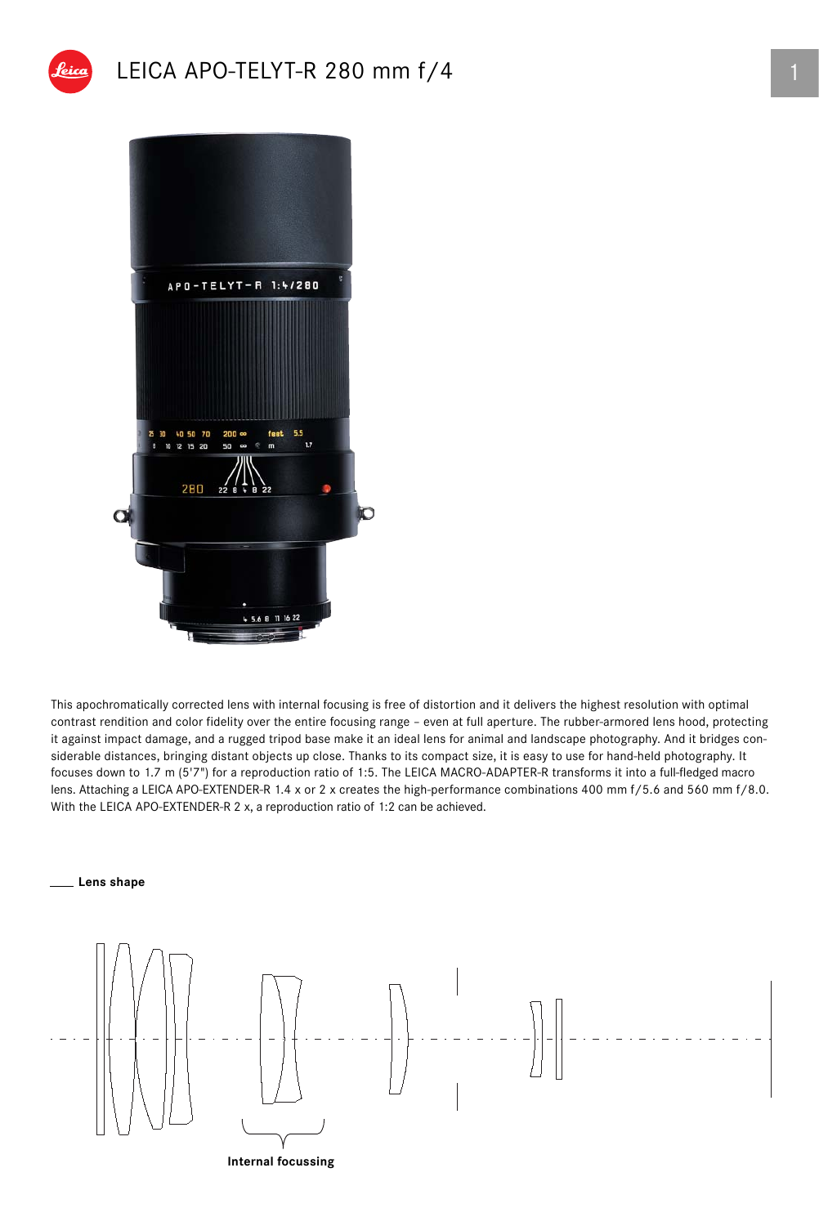## LEICA APO-TELYT-R 280 mm  $f/4$  1



This apochromatically corrected lens with internal focusing is free of distortion and it delivers the highest resolution with optimal contrast rendition and color fidelity over the entire focusing range – even at full aperture. The rubber-armored lens hood, protecting it against impact damage, and a rugged tripod base make it an ideal lens for animal and landscape photography. And it bridges considerable distances, bringing distant objects up close. Thanks to its compact size, it is easy to use for hand-held photography. It focuses down to 1.7 m (5'7") for a reproduction ratio of 1:5. The LEICA MACRO-ADAPTER-R transforms it into a full-fledged macro lens. Attaching a LEICA APO-EXTENDER-R 1.4 x or 2 x creates the high-performance combinations 400 mm f/5.6 and 560 mm f/8.0. With the LEICA APO-EXTENDER-R 2 x, a reproduction ratio of 1:2 can be achieved.

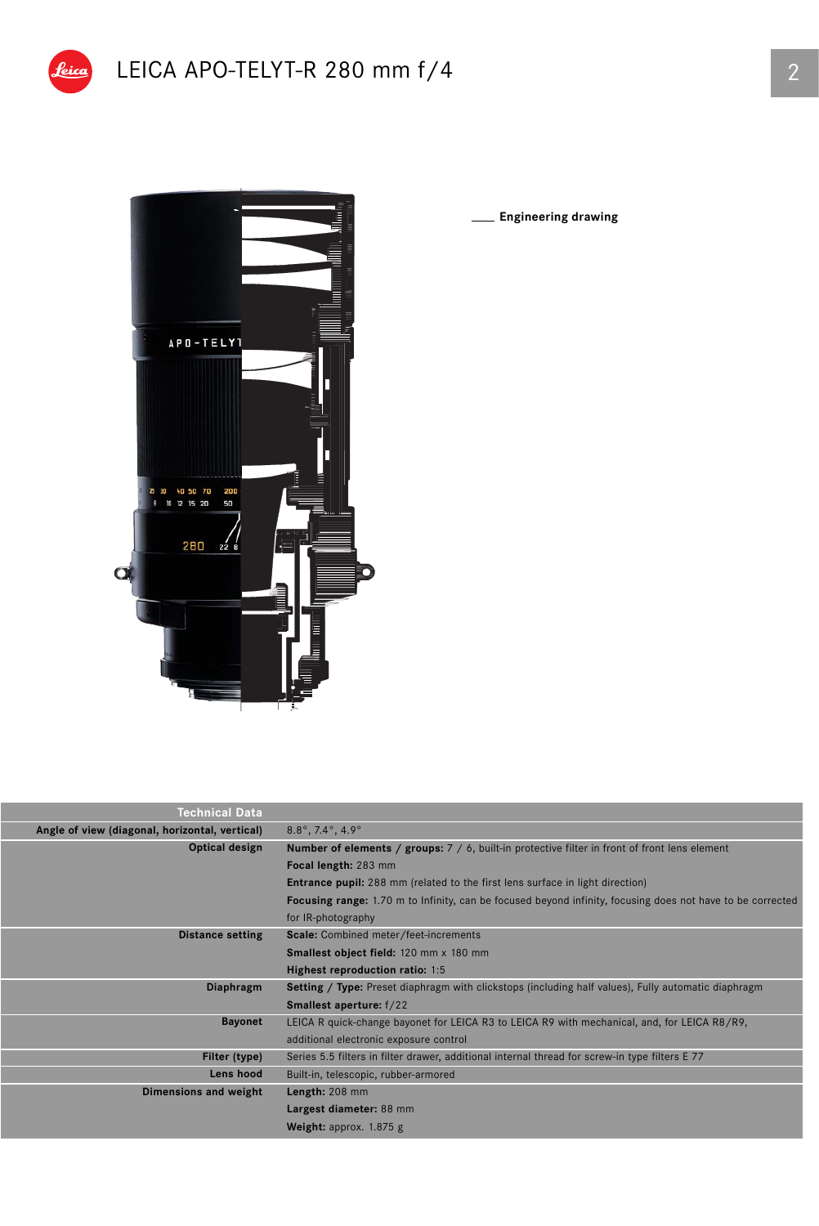



**Engineering drawing**

| <b>Technical Data</b>                          |                                                                                                            |  |  |  |  |
|------------------------------------------------|------------------------------------------------------------------------------------------------------------|--|--|--|--|
| Angle of view (diagonal, horizontal, vertical) | $8.8^{\circ}$ , 7.4 $^{\circ}$ , 4.9 $^{\circ}$                                                            |  |  |  |  |
| Optical design                                 | <b>Number of elements / groups:</b> 7 / 6, built-in protective filter in front of front lens element       |  |  |  |  |
|                                                | Focal length: 283 mm                                                                                       |  |  |  |  |
|                                                | <b>Entrance pupil:</b> 288 mm (related to the first lens surface in light direction)                       |  |  |  |  |
|                                                | Focusing range: 1.70 m to Infinity, can be focused beyond infinity, focusing does not have to be corrected |  |  |  |  |
|                                                | for IR-photography                                                                                         |  |  |  |  |
| <b>Distance setting</b>                        | Scale: Combined meter/feet-increments                                                                      |  |  |  |  |
|                                                | <b>Smallest object field: 120 mm x 180 mm</b>                                                              |  |  |  |  |
|                                                | Highest reproduction ratio: 1:5                                                                            |  |  |  |  |
| Diaphragm                                      | <b>Setting / Type:</b> Preset diaphragm with clickstops (including half values), Fully automatic diaphragm |  |  |  |  |
|                                                | <b>Smallest aperture:</b> f/22                                                                             |  |  |  |  |
| <b>Bayonet</b>                                 | LEICA R quick-change bayonet for LEICA R3 to LEICA R9 with mechanical, and, for LEICA R8/R9,               |  |  |  |  |
|                                                | additional electronic exposure control                                                                     |  |  |  |  |
| Filter (type)                                  | Series 5.5 filters in filter drawer, additional internal thread for screw-in type filters E 77             |  |  |  |  |
| Lens hood                                      | Built-in, telescopic, rubber-armored                                                                       |  |  |  |  |
| Dimensions and weight                          | Length: 208 mm                                                                                             |  |  |  |  |
|                                                | Largest diameter: 88 mm                                                                                    |  |  |  |  |
|                                                | Weight: approx. 1.875 g                                                                                    |  |  |  |  |
|                                                |                                                                                                            |  |  |  |  |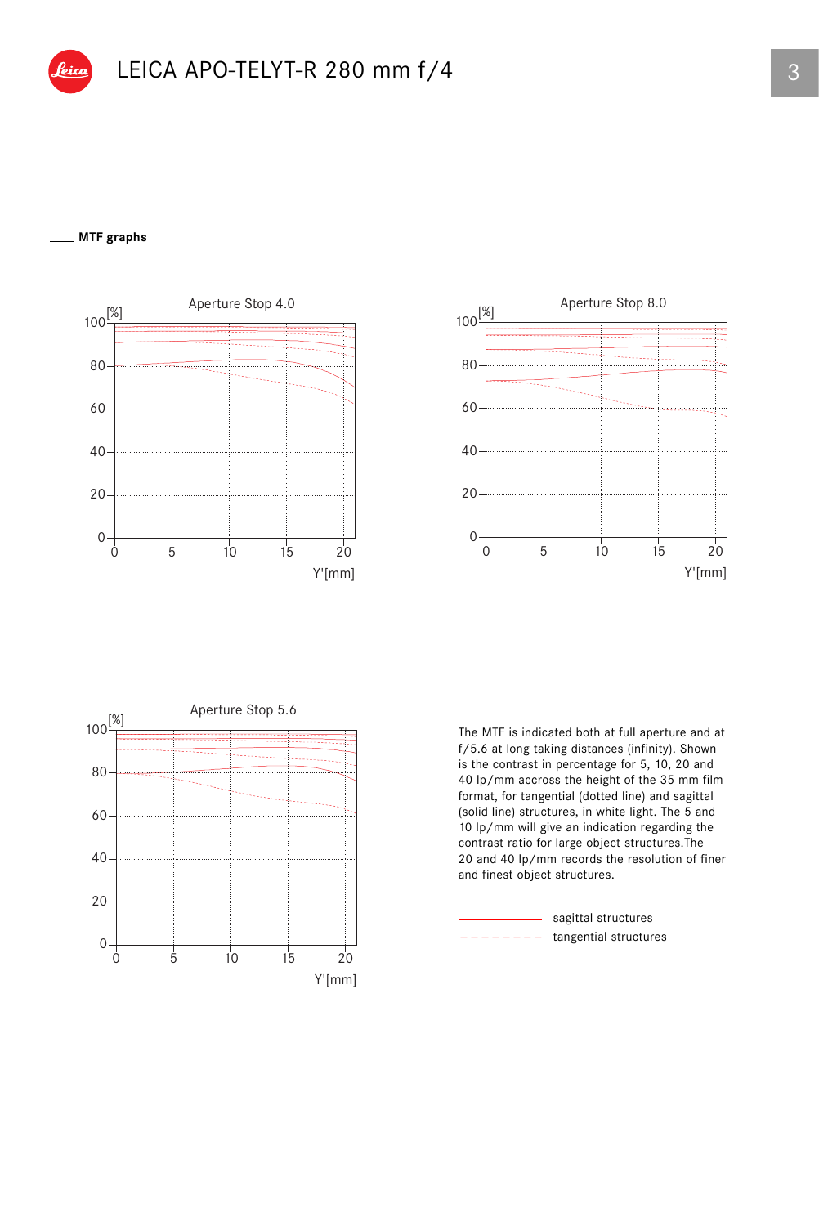## **MTF graphs**







The MTF is indicated both at full aperture and at f/5.6 at long taking distances (infinity). Shown is the contrast in percentage for 5, 10, 20 and 40 lp/mm accross the height of the 35 mm film format, for tangential (dotted line) and sagittal (solid line) structures, in white light. The 5 and 10 lp/mm will give an indication regarding the contrast ratio for large object structures.The 20 and 40 lp/mm records the resolution of finer and finest object structures.

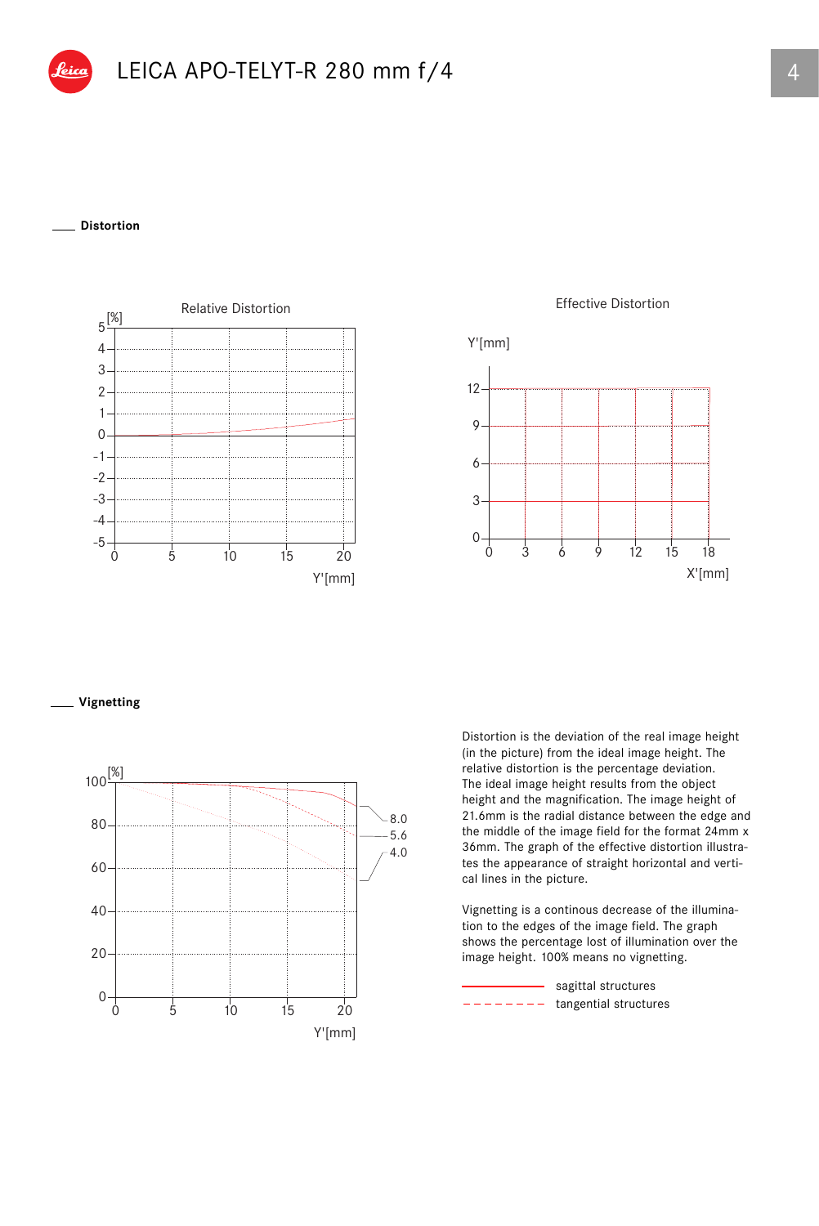## **Distortion**



Effective Distortion



**Vignetting**



Distortion is the deviation of the real image height (in the picture) from the ideal image height. The relative distortion is the percentage deviation. The ideal image height results from the object height and the magnification. The image height of 21.6mm is the radial distance between the edge and the middle of the image field for the format 24mm x 36mm. The graph of the effective distortion illustrates the appearance of straight horizontal and vertical lines in the picture.

Vignetting is a continous decrease of the illumination to the edges of the image field. The graph shows the percentage lost of illumination over the image height. 100% means no vignetting.

tangential structures sagittal structures  $- - -$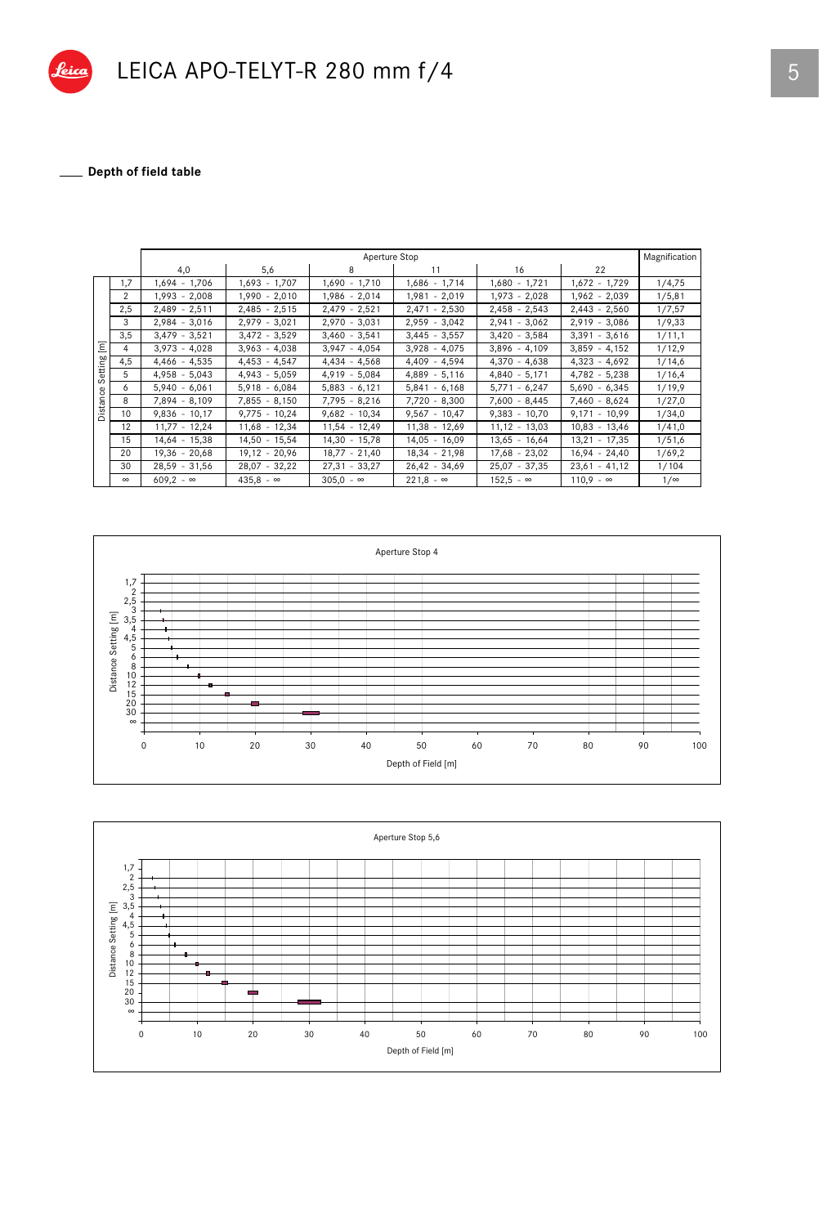

## \_ Depth of field table

|                                                  |              | Magnification<br>Aperture Stop |                  |                    |                  |                  |                  |            |  |
|--------------------------------------------------|--------------|--------------------------------|------------------|--------------------|------------------|------------------|------------------|------------|--|
|                                                  |              | 4,0                            | 5,6              | 8                  | 11               | 16               | 22               |            |  |
| $\overline{\epsilon}$<br>etting<br>Ō<br>Distance | 1,7          | 1,694 - 1,706                  | $1,693 - 1,707$  | $1,690 - 1,710$    | $1,686 - 1,714$  | $1,680 - 1,721$  | $1,672 - 1,729$  | 1/4,75     |  |
|                                                  | 2            | 1,993 - 2,008                  | $1,990 - 2,010$  | $1,986 - 2,014$    | $1,981 - 2,019$  | $1,973 - 2,028$  | $1,962 - 2,039$  | 1/5,81     |  |
|                                                  | 2,5          | $2,489 - 2,511$                | $2,485 - 2,515$  | $2,479 - 2,521$    | $2,471 - 2,530$  | $2,458 - 2,543$  | $2,443 - 2,560$  | 1/7,57     |  |
|                                                  | 3            | $2,984 - 3,016$                | $2,979 - 3,021$  | $2,970 - 3,031$    | $2,959 - 3,042$  | $2,941 - 3,062$  | $2,919 - 3,086$  | 1/9,33     |  |
|                                                  | 3,5          | $3,479 - 3,521$                | $3,472 - 3,529$  | $3,460 - 3,541$    | $3,445 - 3,557$  | $3,420 - 3,584$  | $3,391 - 3,616$  | 1/11,1     |  |
|                                                  | 4            | $3,973 - 4,028$                | $3,963 - 4,038$  | $3,947 - 4,054$    | $3,928 - 4,075$  | $3,896 - 4,109$  | $3,859 - 4,152$  | 1/12,9     |  |
|                                                  | 4,5          | $4,466 - 4,535$                | $4,453 - 4,547$  | $4,434 - 4,568$    | $4.409 - 4.594$  | $4,370 - 4,638$  | $4,323 - 4,692$  | 1/14,6     |  |
|                                                  | 5            | $4,958 - 5,043$                | $4,943 - 5,059$  | $4,919 - 5,084$    | $4,889 - 5,116$  | $4,840 - 5,171$  | $4,782 - 5,238$  | 1/16,4     |  |
|                                                  | <sup>6</sup> | $5,940 - 6,061$                | $5,918 - 6,084$  | $5,883 - 6,121$    | $5,841 - 6,168$  | $5,771 - 6,247$  | $5,690 - 6,345$  | 1/19,9     |  |
|                                                  | 8            | 7,894 - 8,109                  | $7,855 - 8,150$  | 7,795 - 8,216      | $7.720 - 8.300$  | $7.600 - 8.445$  | $7,460 - 8,624$  | 1/27,0     |  |
|                                                  | 10           | $9,836 - 10,17$                | $9,775 - 10,24$  | $9,682 - 10,34$    | $9,567 - 10,47$  | $9,383 - 10,70$  | $9,171 - 10,99$  | 1/34,0     |  |
|                                                  | 12           | $11,77 - 12,24$                | $11,68 - 12,34$  | $11,54 - 12,49$    | $11,38 - 12,69$  | $11,12 - 13,03$  | $10,83 - 13,46$  | 1/41,0     |  |
|                                                  | 15           | 14,64 - 15,38                  | $14,50 - 15,54$  | $14,30 -$<br>15,78 | $14,05 - 16,09$  | $13,65 - 16,64$  | $13,21 - 17,35$  | 1/51,6     |  |
|                                                  | 20           | 19,36 - 20,68                  | $19,12 - 20,96$  | $18,77 - 21,40$    | $18,34 - 21,98$  | $17,68 - 23,02$  | $16,94 - 24,40$  | 1/69,2     |  |
|                                                  | 30           | $28,59 - 31,56$                | $28,07 - 32,22$  | $27,31 - 33,27$    | $26,42 - 34,69$  | $25,07 - 37,35$  | $23,61 - 41,12$  | 1/104      |  |
|                                                  | $\infty$     | $609,2 - \infty$               | $435,8 - \infty$ | $305,0 - \infty$   | $221,8 - \infty$ | $152,5 - \infty$ | $110,9 - \infty$ | $1/\infty$ |  |



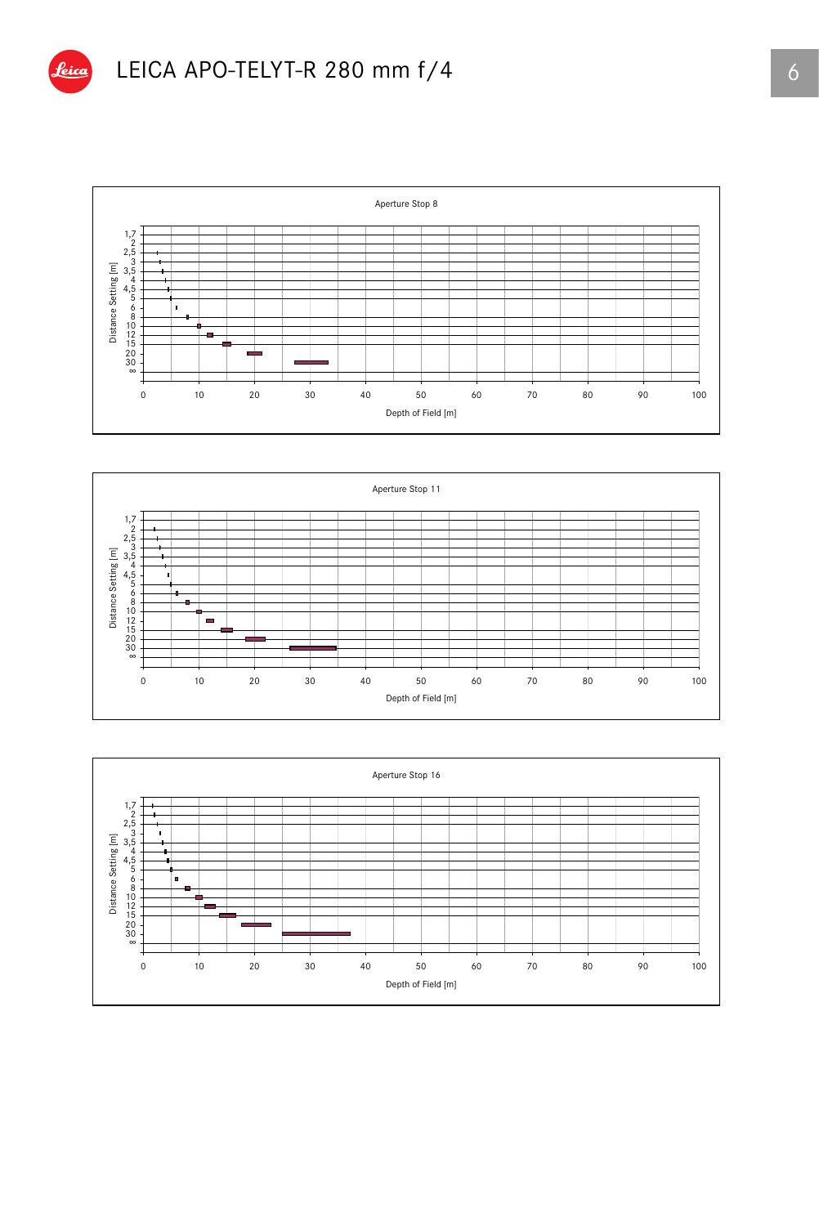